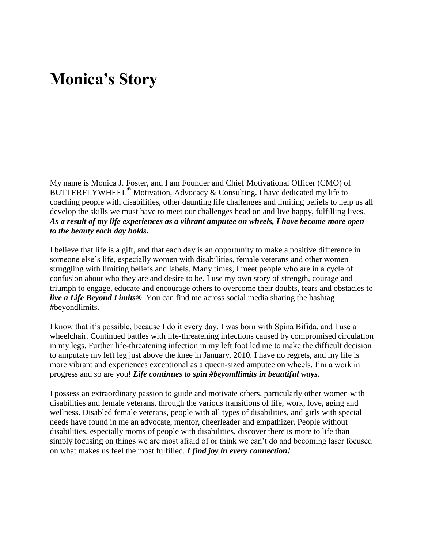## **Monica's Story**

My name is Monica J. Foster, and I am Founder and Chief Motivational Officer (CMO) of BUTTERFLYWHEEL® Motivation, Advocacy & Consulting. I have dedicated my life to coaching people with disabilities, other daunting life challenges and limiting beliefs to help us all develop the skills we must have to meet our challenges head on and live happy, fulfilling lives. *As a result of my life experiences as a vibrant amputee on wheels, I have become more open to the beauty each day holds.*

I believe that life is a gift, and that each day is an opportunity to make a positive difference in someone else's life, especially women with disabilities, female veterans and other women struggling with limiting beliefs and labels. Many times, I meet people who are in a cycle of confusion about who they are and desire to be. I use my own story of strength, courage and triumph to engage, educate and encourage others to overcome their doubts, fears and obstacles to *live a Life Beyond Limits®*. You can find me across social media sharing the hashtag #beyondlimits.

I know that it's possible, because I do it every day. I was born with Spina Bifida, and I use a wheelchair. Continued battles with life-threatening infections caused by compromised circulation in my legs. Further life-threatening infection in my left foot led me to make the difficult decision to amputate my left leg just above the knee in January, 2010. I have no regrets, and my life is more vibrant and experiences exceptional as a queen-sized amputee on wheels. I'm a work in progress and so are you! *Life continues to spin #beyondlimits in beautiful ways.* 

I possess an extraordinary passion to guide and motivate others, particularly other women with disabilities and female veterans, through the various transitions of life, work, love, aging and wellness. Disabled female veterans, people with all types of disabilities, and girls with special needs have found in me an advocate, mentor, cheerleader and empathizer. People without disabilities, especially moms of people with disabilities, discover there is more to life than simply focusing on things we are most afraid of or think we can't do and becoming laser focused on what makes us feel the most fulfilled. *I find joy in every connection!*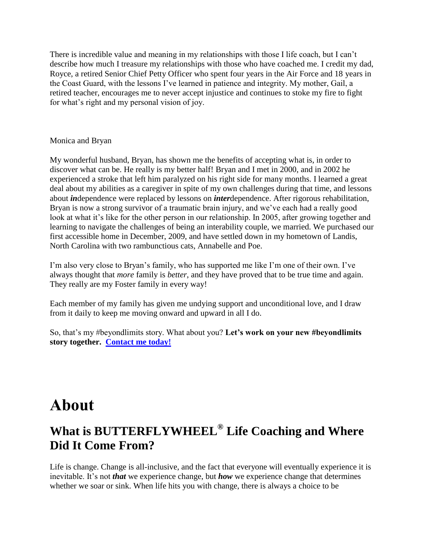There is incredible value and meaning in my relationships with those I life coach, but I can't describe how much I treasure my relationships with those who have coached me. I credit my dad, Royce, a retired Senior Chief Petty Officer who spent four years in the Air Force and 18 years in the Coast Guard, with the lessons I've learned in patience and integrity. My mother, Gail, a retired teacher, encourages me to never accept injustice and continues to stoke my fire to fight for what's right and my personal vision of joy.

## Monica and Bryan

My wonderful husband, Bryan, has shown me the benefits of accepting what is, in order to discover what can be. He really is my better half! Bryan and I met in 2000, and in 2002 he experienced a stroke that left him paralyzed on his right side for many months. I learned a great deal about my abilities as a caregiver in spite of my own challenges during that time, and lessons about *in*dependence were replaced by lessons on *inter*dependence. After rigorous rehabilitation, Bryan is now a strong survivor of a traumatic brain injury, and we've each had a really good look at what it's like for the other person in our relationship. In 2005, after growing together and learning to navigate the challenges of being an interability couple, we married. We purchased our first accessible home in December, 2009, and have settled down in my hometown of Landis, North Carolina with two rambunctious cats, Annabelle and Poe.

I'm also very close to Bryan's family, who has supported me like I'm one of their own. I've always thought that *more* family is *better*, and they have proved that to be true time and again. They really are my Foster family in every way!

Each member of my family has given me undying support and unconditional love, and I draw from it daily to keep me moving onward and upward in all I do.

So, that's my #beyondlimits story. What about you? **Let's work on your new #beyondlimits story together. [Contact me today!](http://butterflywheel.com/contact)**

## **About**

## **What is BUTTERFLYWHEEL® Life Coaching and Where Did It Come From?**

Life is change. Change is all-inclusive, and the fact that everyone will eventually experience it is inevitable. It's not *that* we experience change, but *how* we experience change that determines whether we soar or sink. When life hits you with change, there is always a choice to be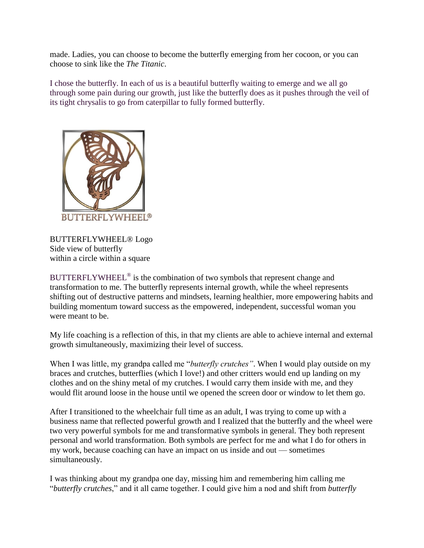made. Ladies, you can choose to become the butterfly emerging from her cocoon, or you can choose to sink like the *The Titanic*.

I chose the butterfly. In each of us is a beautiful butterfly waiting to emerge and we all go through some pain during our growth, just like the butterfly does as it pushes through the veil of its tight chrysalis to go from caterpillar to fully formed butterfly.



BUTTERFLYWHEEL® Logo Side view of butterfly within a circle within a square

BUTTERFLYWHEEL<sup>®</sup> is the combination of two symbols that represent change and transformation to me. The butterfly represents internal growth, while the wheel represents shifting out of destructive patterns and mindsets, learning healthier, more empowering habits and building momentum toward success as the empowered, independent, successful woman you were meant to be.

My life coaching is a reflection of this, in that my clients are able to achieve internal and external growth simultaneously, maximizing their level of success.

When I was little, my grandpa called me "*butterfly crutches"*. When I would play outside on my braces and crutches, butterflies (which I love!) and other critters would end up landing on my clothes and on the shiny metal of my crutches. I would carry them inside with me, and they would flit around loose in the house until we opened the screen door or window to let them go.

After I transitioned to the wheelchair full time as an adult, I was trying to come up with a business name that reflected powerful growth and I realized that the butterfly and the wheel were two very powerful symbols for me and transformative symbols in general. They both represent personal and world transformation. Both symbols are perfect for me and what I do for others in my work, because coaching can have an impact on us inside and out — sometimes simultaneously.

I was thinking about my grandpa one day, missing him and remembering him calling me "*butterfly crutches*," and it all came together. I could give him a nod and shift from *butterfly*